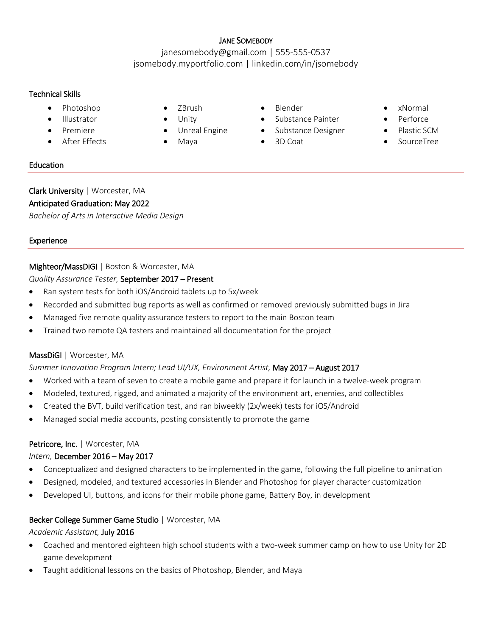### JANE SOMEBODY

janesomebody@gmail.com | 555-555-0537 jsomebody.myportfolio.com | linkedin.com/in/jsomebody

#### Technical Skills

- Photoshop ZBrush Blender xNormal
- 
- 
- After Effects Maya 3D Coat SourceTree
- 
- 
- 
- 
- 
- Illustrator Unity Substance Painter Perforce
- **Premiere** Unreal Engine Substance Designer Plastic SCM
	-
- 
- 
- 
- 

#### **Education**

Clark University | Worcester, MA Anticipated Graduation: May 2022 *Bachelor of Arts in Interactive Media Design*

### Experience

### Mighteor/MassDiGI | Boston & Worcester, MA

#### *Quality Assurance Tester,* September 2017 – Present

- Ran system tests for both iOS/Android tablets up to 5x/week
- Recorded and submitted bug reports as well as confirmed or removed previously submitted bugs in Jira
- Managed five remote quality assurance testers to report to the main Boston team
- Trained two remote QA testers and maintained all documentation for the project

# MassDiGI | Worcester, MA

#### *Summer Innovation Program Intern; Lead UI/UX, Environment Artist,* May 2017 – August 2017

- Worked with a team of seven to create a mobile game and prepare it for launch in a twelve-week program
- Modeled, textured, rigged, and animated a majority of the environment art, enemies, and collectibles
- Created the BVT, build verification test, and ran biweekly (2x/week) tests for iOS/Android
- Managed social media accounts, posting consistently to promote the game

#### Petricore, Inc. | Worcester, MA

#### *Intern,* December 2016 – May 2017

- Conceptualized and designed characters to be implemented in the game, following the full pipeline to animation
- Designed, modeled, and textured accessories in Blender and Photoshop for player character customization
- Developed UI, buttons, and icons for their mobile phone game, Battery Boy, in development

#### Becker College Summer Game Studio | Worcester, MA

#### *Academic Assistant,* July 2016

- Coached and mentored eighteen high school students with a two-week summer camp on how to use Unity for 2D game development
- Taught additional lessons on the basics of Photoshop, Blender, and Maya